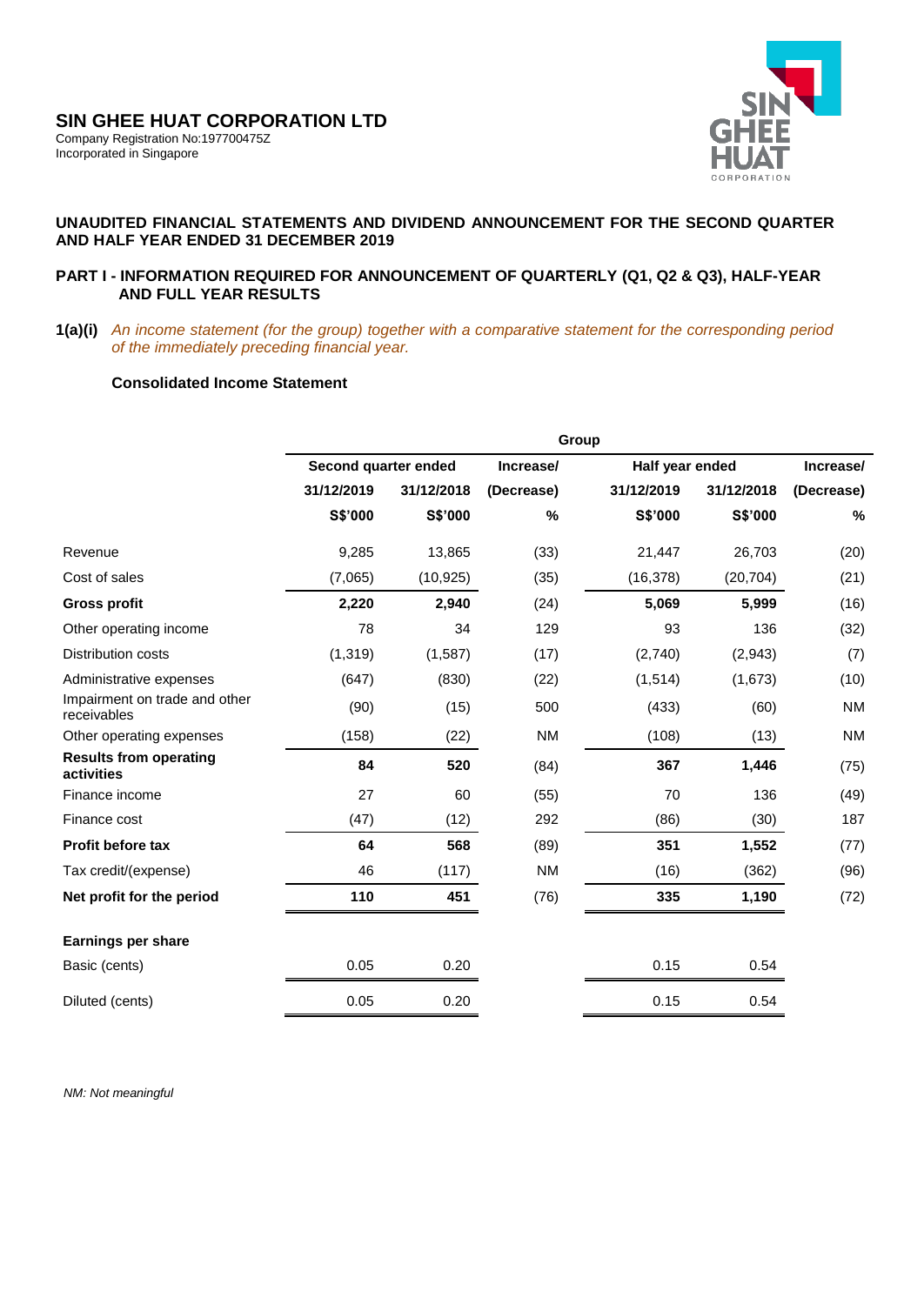

## **UNAUDITED FINANCIAL STATEMENTS AND DIVIDEND ANNOUNCEMENT FOR THE SECOND QUARTER AND HALF YEAR ENDED 31 DECEMBER 2019**

### **PART I - INFORMATION REQUIRED FOR ANNOUNCEMENT OF QUARTERLY (Q1, Q2 & Q3), HALF-YEAR AND FULL YEAR RESULTS**

**1(a)(i)** *An income statement (for the group) together with a comparative statement for the corresponding period of the immediately preceding financial year.* 

## **Consolidated Income Statement**

|                                              | Group                |            |            |                 |            |            |
|----------------------------------------------|----------------------|------------|------------|-----------------|------------|------------|
|                                              | Second quarter ended |            | Increase/  | Half year ended |            | Increase/  |
|                                              | 31/12/2019           | 31/12/2018 | (Decrease) | 31/12/2019      | 31/12/2018 | (Decrease) |
|                                              | S\$'000              | S\$'000    | %          | S\$'000         | S\$'000    | $\%$       |
| Revenue                                      | 9,285                | 13,865     | (33)       | 21,447          | 26,703     | (20)       |
| Cost of sales                                | (7,065)              | (10, 925)  | (35)       | (16, 378)       | (20, 704)  | (21)       |
| <b>Gross profit</b>                          | 2,220                | 2,940      | (24)       | 5,069           | 5,999      | (16)       |
| Other operating income                       | 78                   | 34         | 129        | 93              | 136        | (32)       |
| Distribution costs                           | (1, 319)             | (1,587)    | (17)       | (2,740)         | (2,943)    | (7)        |
| Administrative expenses                      | (647)                | (830)      | (22)       | (1,514)         | (1,673)    | (10)       |
| Impairment on trade and other<br>receivables | (90)                 | (15)       | 500        | (433)           | (60)       | <b>NM</b>  |
| Other operating expenses                     | (158)                | (22)       | <b>NM</b>  | (108)           | (13)       | <b>NM</b>  |
| <b>Results from operating</b><br>activities  | 84                   | 520        | (84)       | 367             | 1,446      | (75)       |
| Finance income                               | 27                   | 60         | (55)       | 70              | 136        | (49)       |
| Finance cost                                 | (47)                 | (12)       | 292        | (86)            | (30)       | 187        |
| <b>Profit before tax</b>                     | 64                   | 568        | (89)       | 351             | 1,552      | (77)       |
| Tax credit/(expense)                         | 46                   | (117)      | <b>NM</b>  | (16)            | (362)      | (96)       |
| Net profit for the period                    | 110                  | 451        | (76)       | 335             | 1,190      | (72)       |
| <b>Earnings per share</b>                    |                      |            |            |                 |            |            |
| Basic (cents)                                | 0.05                 | 0.20       |            | 0.15            | 0.54       |            |
| Diluted (cents)                              | 0.05                 | 0.20       |            | 0.15            | 0.54       |            |

 *NM: Not meaningful*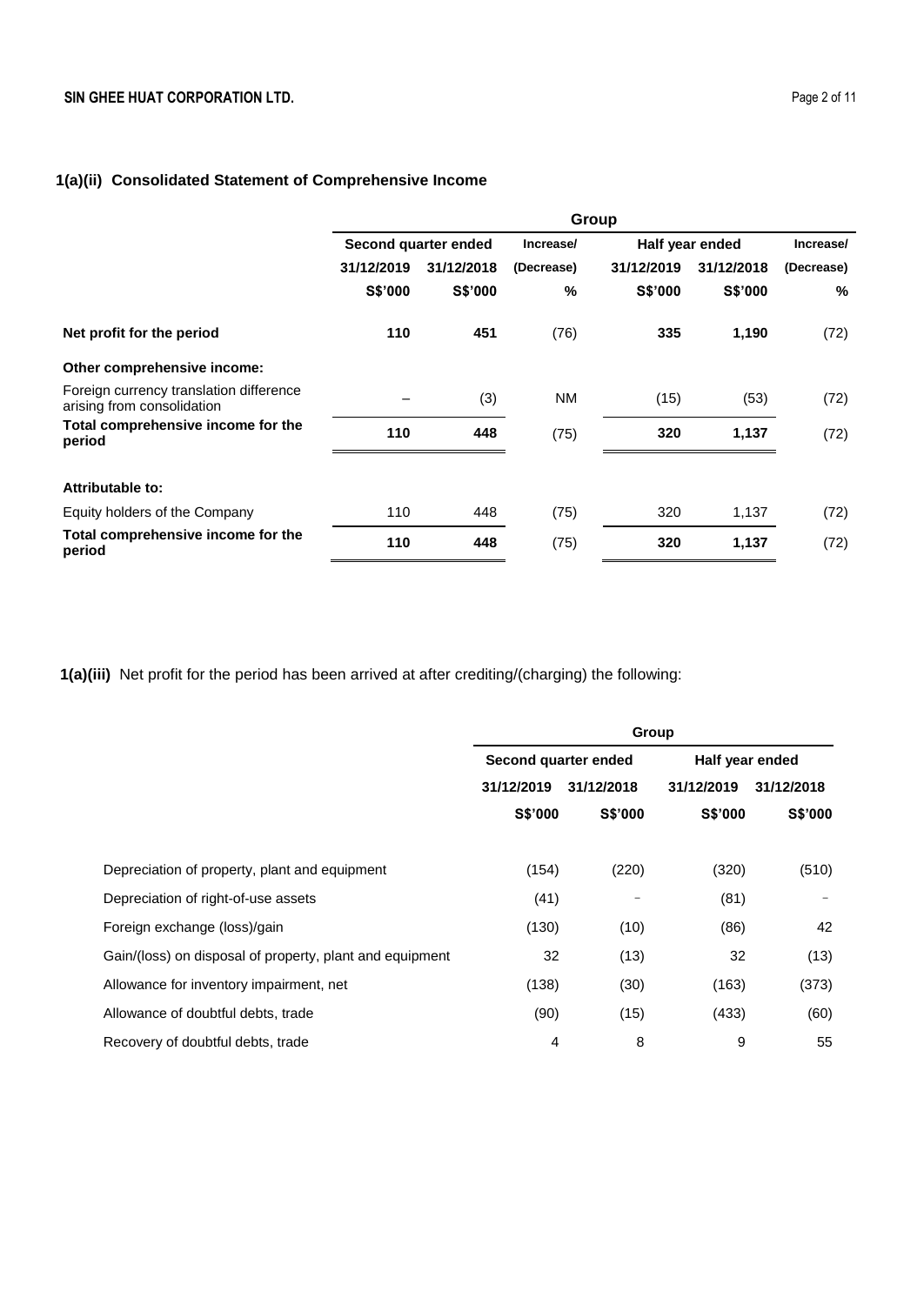## **1(a)(ii) Consolidated Statement of Comprehensive Income**

|                                                                       | Group                |            |            |                 |                |            |
|-----------------------------------------------------------------------|----------------------|------------|------------|-----------------|----------------|------------|
|                                                                       | Second quarter ended |            | Increase/  | Half year ended |                | Increase/  |
|                                                                       | 31/12/2019           | 31/12/2018 | (Decrease) | 31/12/2019      | 31/12/2018     | (Decrease) |
|                                                                       | S\$'000              | S\$'000    | %          | S\$'000         | <b>S\$'000</b> | %          |
| Net profit for the period                                             | 110                  | 451        | (76)       | 335             | 1,190          | (72)       |
| Other comprehensive income:                                           |                      |            |            |                 |                |            |
| Foreign currency translation difference<br>arising from consolidation |                      | (3)        | <b>NM</b>  | (15)            | (53)           | (72)       |
| Total comprehensive income for the<br>period                          | 110                  | 448        | (75)       | 320             | 1,137          | (72)       |
| Attributable to:                                                      |                      |            |            |                 |                |            |
| Equity holders of the Company                                         | 110                  | 448        | (75)       | 320             | 1,137          | (72)       |
| Total comprehensive income for the<br>period                          | 110                  | 448        | (75)       | 320             | 1,137          | (72)       |

**1(a)(iii)** Net profit for the period has been arrived at after crediting/(charging) the following:

|                                                          | Group                    |                   |                 |            |  |
|----------------------------------------------------------|--------------------------|-------------------|-----------------|------------|--|
|                                                          | Second quarter ended     |                   | Half year ended |            |  |
|                                                          | 31/12/2019<br>31/12/2018 |                   | 31/12/2019      | 31/12/2018 |  |
|                                                          | S\$'000                  | S\$'000           | <b>S\$'000</b>  | S\$'000    |  |
|                                                          |                          |                   |                 |            |  |
| Depreciation of property, plant and equipment            | (154)                    | (220)             | (320)           | (510)      |  |
| Depreciation of right-of-use assets                      | (41)                     | $\qquad \qquad -$ | (81)            |            |  |
| Foreign exchange (loss)/gain                             | (130)                    | (10)              | (86)            | 42         |  |
| Gain/(loss) on disposal of property, plant and equipment | 32                       | (13)              | 32              | (13)       |  |
| Allowance for inventory impairment, net                  | (138)                    | (30)              | (163)           | (373)      |  |
| Allowance of doubtful debts, trade                       | (90)                     | (15)              | (433)           | (60)       |  |
| Recovery of doubtful debts, trade                        | $\overline{4}$           | 8                 | 9               | 55         |  |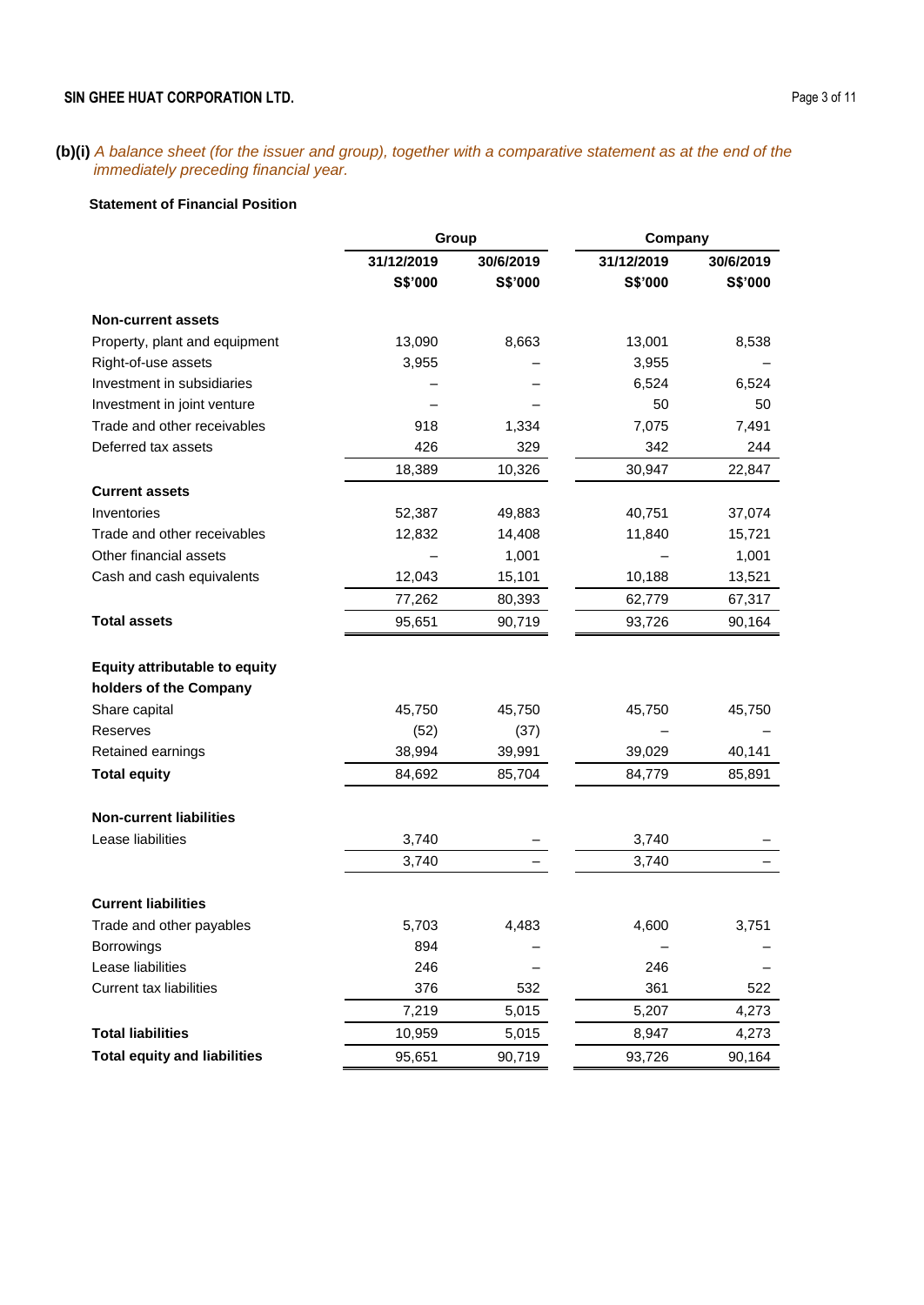### **SIN GHEE HUAT CORPORATION LTD.** Page 3 of 11

#### **(b)(i)** *A balance sheet (for the issuer and group), together with a comparative statement as at the end of the immediately preceding financial year.*

#### **Statement of Financial Position**

| 31/12/2019<br>30/6/2019<br>31/12/2019<br>30/6/2019<br>S\$'000<br>S\$'000<br>S\$'000<br>S\$'000<br><b>Non-current assets</b><br>Property, plant and equipment<br>13,090<br>8,663<br>13,001<br>8,538<br>Right-of-use assets<br>3,955<br>3,955<br>Investment in subsidiaries<br>6,524<br>6,524<br>Investment in joint venture<br>50<br>50<br>Trade and other receivables<br>918<br>1,334<br>7,075<br>7,491<br>Deferred tax assets<br>426<br>329<br>342<br>244<br>18,389<br>10,326<br>30,947<br>22,847<br><b>Current assets</b><br>Inventories<br>52,387<br>49,883<br>40,751<br>37,074<br>Trade and other receivables<br>12,832<br>14,408<br>11,840<br>15,721<br>Other financial assets<br>1,001<br>1,001<br>Cash and cash equivalents<br>12,043<br>15,101<br>10,188<br>13,521<br>77,262<br>80,393<br>62,779<br>67,317<br><b>Total assets</b><br>95,651<br>90,719<br>93,726<br>90,164<br><b>Equity attributable to equity</b> |
|---------------------------------------------------------------------------------------------------------------------------------------------------------------------------------------------------------------------------------------------------------------------------------------------------------------------------------------------------------------------------------------------------------------------------------------------------------------------------------------------------------------------------------------------------------------------------------------------------------------------------------------------------------------------------------------------------------------------------------------------------------------------------------------------------------------------------------------------------------------------------------------------------------------------------|
|                                                                                                                                                                                                                                                                                                                                                                                                                                                                                                                                                                                                                                                                                                                                                                                                                                                                                                                           |
|                                                                                                                                                                                                                                                                                                                                                                                                                                                                                                                                                                                                                                                                                                                                                                                                                                                                                                                           |
|                                                                                                                                                                                                                                                                                                                                                                                                                                                                                                                                                                                                                                                                                                                                                                                                                                                                                                                           |
|                                                                                                                                                                                                                                                                                                                                                                                                                                                                                                                                                                                                                                                                                                                                                                                                                                                                                                                           |
|                                                                                                                                                                                                                                                                                                                                                                                                                                                                                                                                                                                                                                                                                                                                                                                                                                                                                                                           |
|                                                                                                                                                                                                                                                                                                                                                                                                                                                                                                                                                                                                                                                                                                                                                                                                                                                                                                                           |
|                                                                                                                                                                                                                                                                                                                                                                                                                                                                                                                                                                                                                                                                                                                                                                                                                                                                                                                           |
|                                                                                                                                                                                                                                                                                                                                                                                                                                                                                                                                                                                                                                                                                                                                                                                                                                                                                                                           |
|                                                                                                                                                                                                                                                                                                                                                                                                                                                                                                                                                                                                                                                                                                                                                                                                                                                                                                                           |
|                                                                                                                                                                                                                                                                                                                                                                                                                                                                                                                                                                                                                                                                                                                                                                                                                                                                                                                           |
|                                                                                                                                                                                                                                                                                                                                                                                                                                                                                                                                                                                                                                                                                                                                                                                                                                                                                                                           |
|                                                                                                                                                                                                                                                                                                                                                                                                                                                                                                                                                                                                                                                                                                                                                                                                                                                                                                                           |
|                                                                                                                                                                                                                                                                                                                                                                                                                                                                                                                                                                                                                                                                                                                                                                                                                                                                                                                           |
|                                                                                                                                                                                                                                                                                                                                                                                                                                                                                                                                                                                                                                                                                                                                                                                                                                                                                                                           |
|                                                                                                                                                                                                                                                                                                                                                                                                                                                                                                                                                                                                                                                                                                                                                                                                                                                                                                                           |
|                                                                                                                                                                                                                                                                                                                                                                                                                                                                                                                                                                                                                                                                                                                                                                                                                                                                                                                           |
|                                                                                                                                                                                                                                                                                                                                                                                                                                                                                                                                                                                                                                                                                                                                                                                                                                                                                                                           |
|                                                                                                                                                                                                                                                                                                                                                                                                                                                                                                                                                                                                                                                                                                                                                                                                                                                                                                                           |
| holders of the Company                                                                                                                                                                                                                                                                                                                                                                                                                                                                                                                                                                                                                                                                                                                                                                                                                                                                                                    |
| Share capital<br>45,750<br>45,750<br>45,750<br>45,750                                                                                                                                                                                                                                                                                                                                                                                                                                                                                                                                                                                                                                                                                                                                                                                                                                                                     |
| Reserves<br>(52)<br>(37)                                                                                                                                                                                                                                                                                                                                                                                                                                                                                                                                                                                                                                                                                                                                                                                                                                                                                                  |
| Retained earnings<br>38,994<br>39,991<br>39,029<br>40,141                                                                                                                                                                                                                                                                                                                                                                                                                                                                                                                                                                                                                                                                                                                                                                                                                                                                 |
| <b>Total equity</b><br>84,692<br>85,704<br>84,779<br>85,891                                                                                                                                                                                                                                                                                                                                                                                                                                                                                                                                                                                                                                                                                                                                                                                                                                                               |
| <b>Non-current liabilities</b>                                                                                                                                                                                                                                                                                                                                                                                                                                                                                                                                                                                                                                                                                                                                                                                                                                                                                            |
| Lease liabilities<br>3,740<br>3,740                                                                                                                                                                                                                                                                                                                                                                                                                                                                                                                                                                                                                                                                                                                                                                                                                                                                                       |
| 3,740<br>3,740                                                                                                                                                                                                                                                                                                                                                                                                                                                                                                                                                                                                                                                                                                                                                                                                                                                                                                            |
| <b>Current liabilities</b>                                                                                                                                                                                                                                                                                                                                                                                                                                                                                                                                                                                                                                                                                                                                                                                                                                                                                                |
| 4,483<br>5,703<br>4,600<br>3,751<br>Trade and other payables                                                                                                                                                                                                                                                                                                                                                                                                                                                                                                                                                                                                                                                                                                                                                                                                                                                              |
| 894<br>Borrowings                                                                                                                                                                                                                                                                                                                                                                                                                                                                                                                                                                                                                                                                                                                                                                                                                                                                                                         |
| Lease liabilities<br>246<br>246                                                                                                                                                                                                                                                                                                                                                                                                                                                                                                                                                                                                                                                                                                                                                                                                                                                                                           |
| <b>Current tax liabilities</b><br>376<br>532<br>361<br>522                                                                                                                                                                                                                                                                                                                                                                                                                                                                                                                                                                                                                                                                                                                                                                                                                                                                |
| 7,219<br>5,015<br>5,207<br>4,273                                                                                                                                                                                                                                                                                                                                                                                                                                                                                                                                                                                                                                                                                                                                                                                                                                                                                          |
| <b>Total liabilities</b><br>10,959<br>5,015<br>8,947<br>4,273                                                                                                                                                                                                                                                                                                                                                                                                                                                                                                                                                                                                                                                                                                                                                                                                                                                             |
| <b>Total equity and liabilities</b><br>95,651<br>90,719<br>93,726<br>90,164                                                                                                                                                                                                                                                                                                                                                                                                                                                                                                                                                                                                                                                                                                                                                                                                                                               |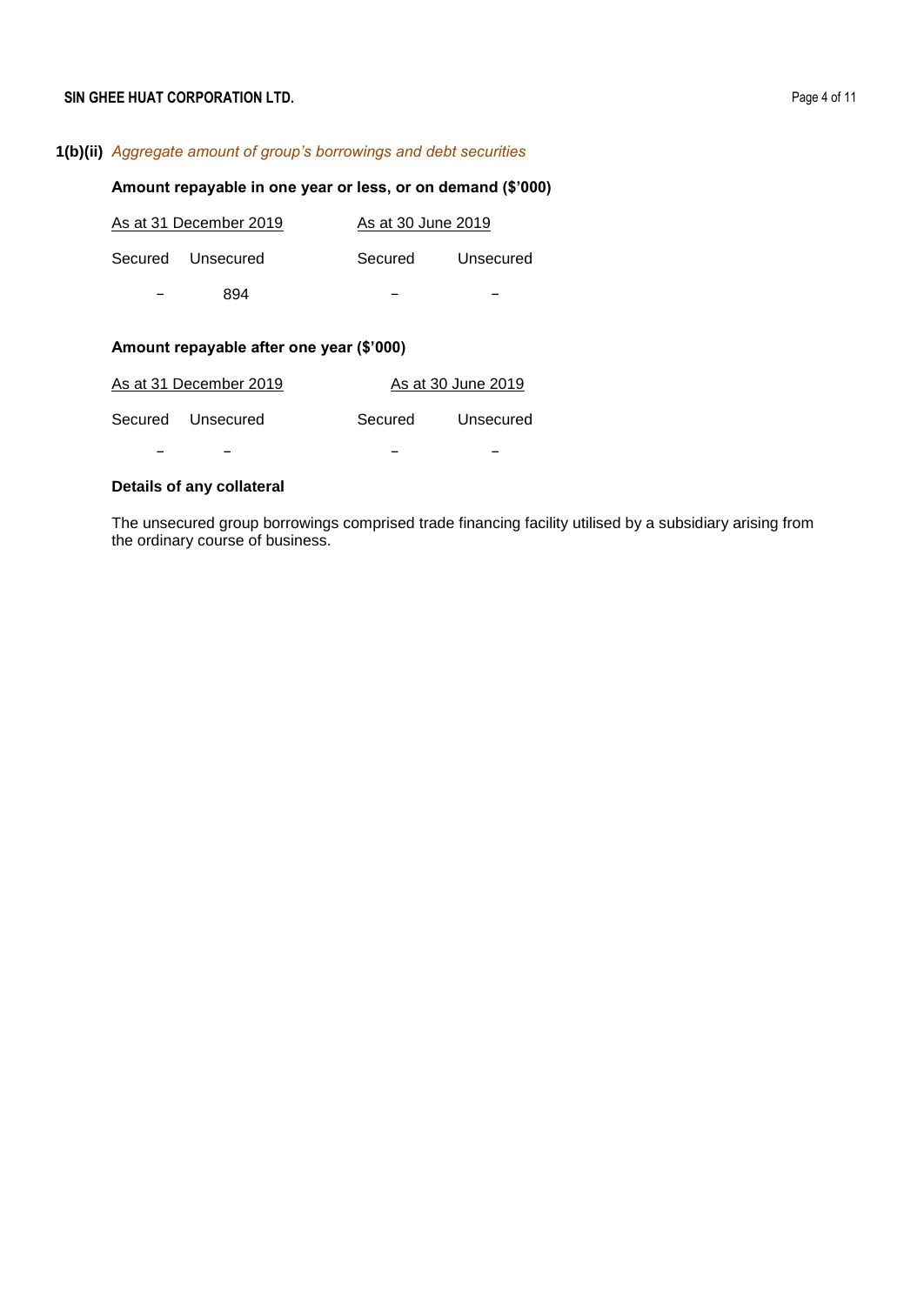# **1(b)(ii)** *Aggregate amount of group's borrowings and debt securities*

### **Amount repayable in one year or less, or on demand (\$'000)**

|   | As at 31 December 2019 | As at 30 June 2019 |           |
|---|------------------------|--------------------|-----------|
|   | Secured Unsecured      | Secured            | Unsecured |
| - | 894                    |                    |           |

# **Amount repayable after one year (\$'000)**

| As at 31 December 2019 |         | As at 30 June 2019 |
|------------------------|---------|--------------------|
| Secured Unsecured      | Secured | Unsecured          |
|                        |         |                    |

### **Details of any collateral**

The unsecured group borrowings comprised trade financing facility utilised by a subsidiary arising from the ordinary course of business.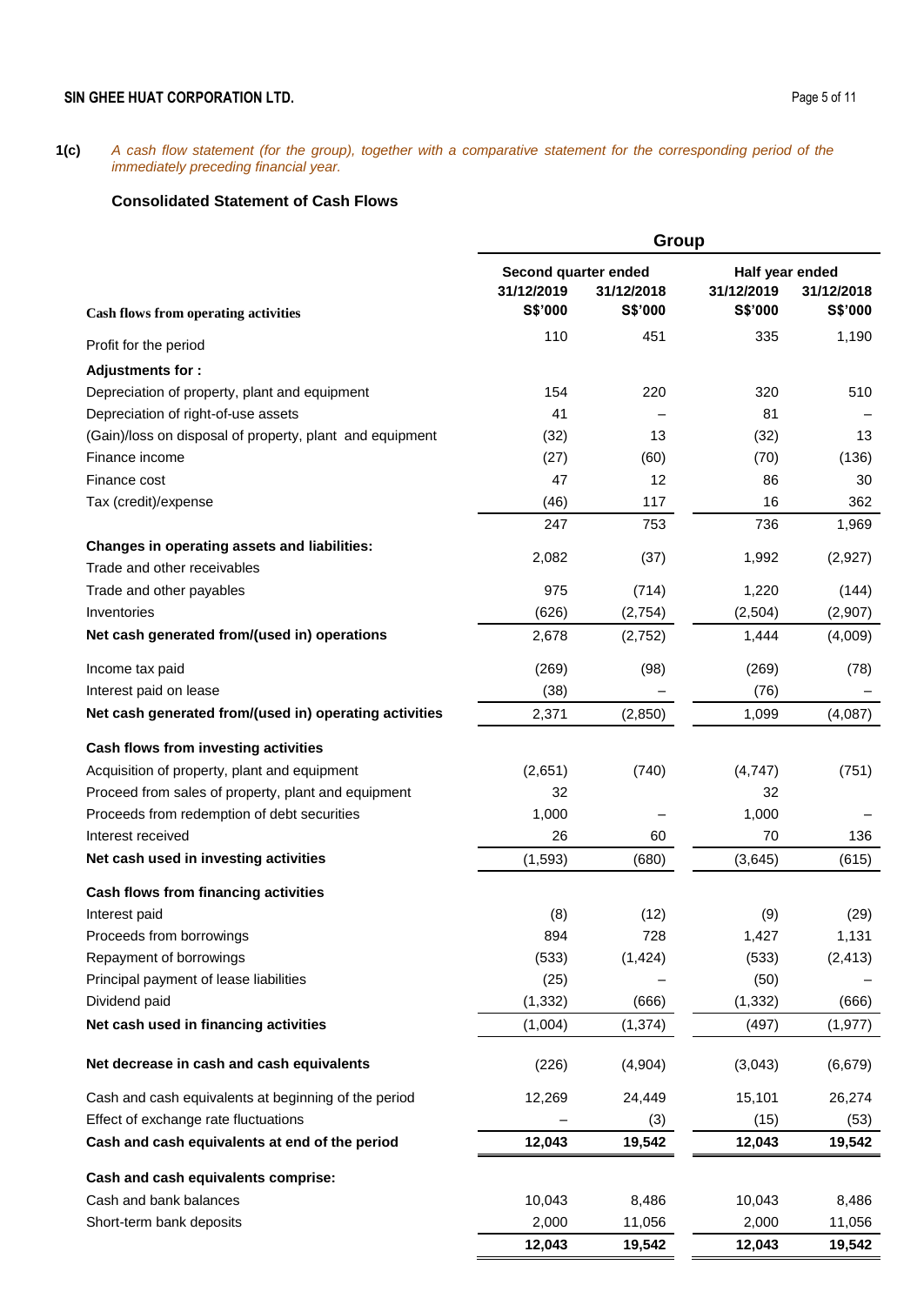## **SIN GHEE HUAT CORPORATION LTD.** Page 5 of 11

**1(c)** *A cash flow statement (for the group), together with a comparative statement for the corresponding period of the immediately preceding financial year.*

## **Consolidated Statement of Cash Flows**

|                                                          |                                    | Group      |                               |            |
|----------------------------------------------------------|------------------------------------|------------|-------------------------------|------------|
|                                                          | Second quarter ended<br>31/12/2019 | 31/12/2018 | Half year ended<br>31/12/2019 | 31/12/2018 |
| <b>Cash flows from operating activities</b>              | S\$'000                            | S\$'000    | S\$'000                       | S\$'000    |
| Profit for the period                                    | 110                                | 451        | 335                           | 1,190      |
| <b>Adjustments for:</b>                                  |                                    |            |                               |            |
| Depreciation of property, plant and equipment            | 154                                | 220        | 320                           | 510        |
| Depreciation of right-of-use assets                      | 41                                 |            | 81                            |            |
| (Gain)/loss on disposal of property, plant and equipment | (32)                               | 13         | (32)                          | 13         |
| Finance income                                           | (27)                               | (60)       | (70)                          | (136)      |
| Finance cost                                             | 47                                 | 12         | 86                            | 30         |
| Tax (credit)/expense                                     | (46)                               | 117        | 16                            | 362        |
|                                                          | 247                                | 753        | 736                           | 1,969      |
| Changes in operating assets and liabilities:             |                                    |            |                               |            |
| Trade and other receivables                              | 2,082                              | (37)       | 1,992                         | (2,927)    |
| Trade and other payables                                 | 975                                | (714)      | 1,220                         | (144)      |
| Inventories                                              | (626)                              | (2,754)    | (2, 504)                      | (2,907)    |
| Net cash generated from/(used in) operations             | 2,678                              | (2,752)    | 1,444                         | (4,009)    |
| Income tax paid                                          | (269)                              | (98)       | (269)                         | (78)       |
| Interest paid on lease                                   | (38)                               |            | (76)                          |            |
| Net cash generated from/(used in) operating activities   | 2,371                              | (2,850)    | 1,099                         | (4,087)    |
| Cash flows from investing activities                     |                                    |            |                               |            |
| Acquisition of property, plant and equipment             | (2,651)                            | (740)      | (4,747)                       | (751)      |
| Proceed from sales of property, plant and equipment      | 32                                 |            | 32                            |            |
| Proceeds from redemption of debt securities              | 1,000                              |            | 1,000                         |            |
| Interest received                                        | 26                                 | 60         | 70                            | 136        |
| Net cash used in investing activities                    | (1, 593)                           | (680)      | (3,645)                       | (615)      |
| Cash flows from financing activities                     |                                    |            |                               |            |
| Interest paid                                            | (8)                                | (12)       | (9)                           | (29)       |
| Proceeds from borrowings                                 | 894                                | 728        | 1,427                         | 1,131      |
| Repayment of borrowings                                  | (533)                              | (1, 424)   | (533)                         | (2, 413)   |
| Principal payment of lease liabilities                   | (25)                               |            | (50)                          |            |
| Dividend paid                                            | (1, 332)                           | (666)      | (1, 332)                      | (666)      |
| Net cash used in financing activities                    | (1,004)                            | (1, 374)   | (497)                         | (1, 977)   |
| Net decrease in cash and cash equivalents                | (226)                              | (4,904)    | (3,043)                       | (6, 679)   |
| Cash and cash equivalents at beginning of the period     | 12,269                             | 24,449     | 15,101                        | 26,274     |
| Effect of exchange rate fluctuations                     |                                    | (3)        | (15)                          | (53)       |
| Cash and cash equivalents at end of the period           | 12,043                             | 19,542     | 12,043                        | 19,542     |
| Cash and cash equivalents comprise:                      |                                    |            |                               |            |
| Cash and bank balances                                   | 10,043                             | 8,486      | 10,043                        | 8,486      |
| Short-term bank deposits                                 | 2,000                              | 11,056     | 2,000                         | 11,056     |
|                                                          | 12,043                             | 19,542     | 12,043                        | 19,542     |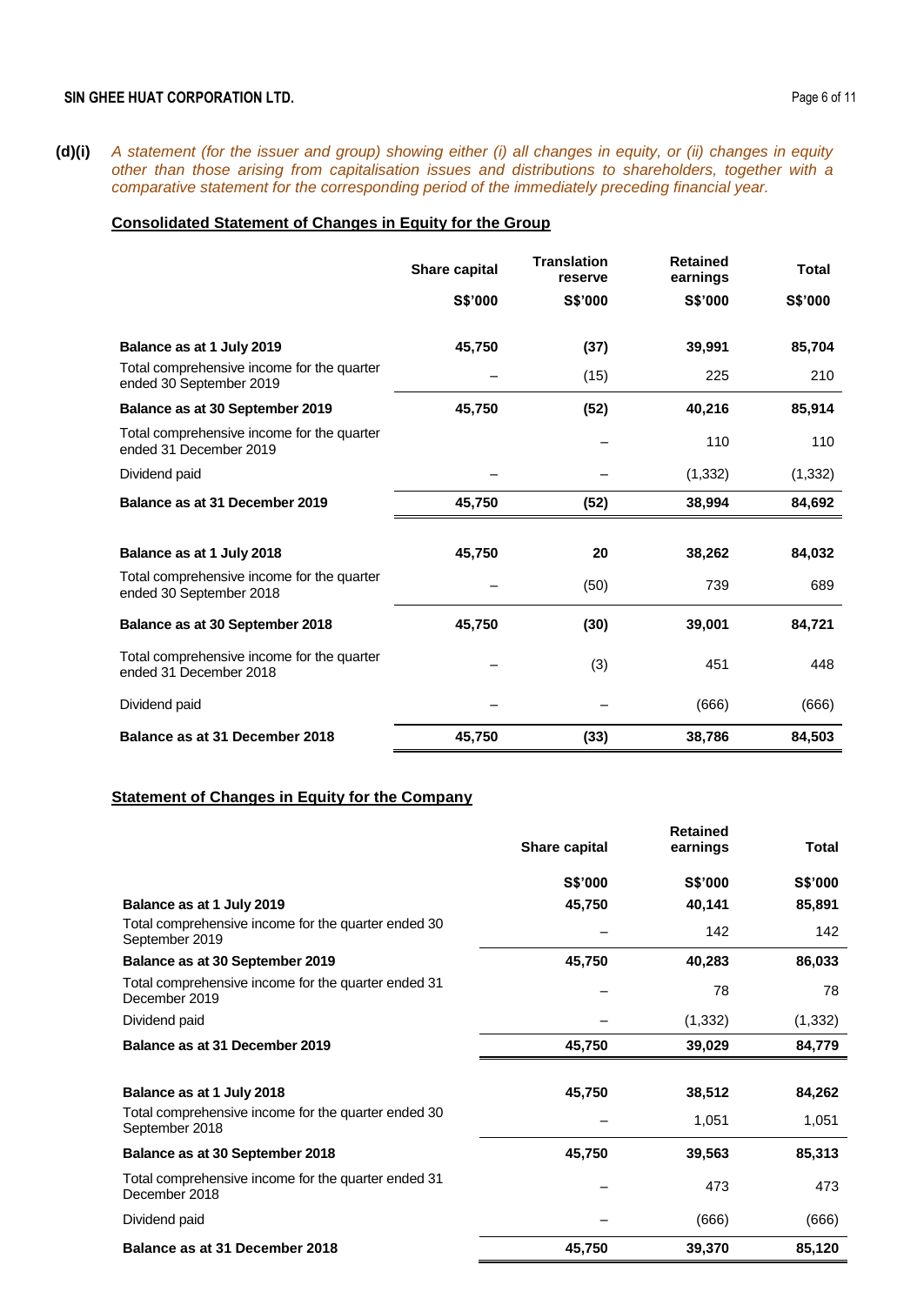**(d)(i)** *A statement (for the issuer and group) showing either (i) all changes in equity, or (ii) changes in equity other than those arising from capitalisation issues and distributions to shareholders, together with a comparative statement for the corresponding period of the immediately preceding financial year.* 

### **Consolidated Statement of Changes in Equity for the Group**

|                                                                       | Share capital | <b>Translation</b><br>reserve | <b>Retained</b><br>earnings | <b>Total</b> |
|-----------------------------------------------------------------------|---------------|-------------------------------|-----------------------------|--------------|
|                                                                       | S\$'000       | S\$'000                       | S\$'000                     | S\$'000      |
| Balance as at 1 July 2019                                             | 45,750        | (37)                          | 39,991                      | 85,704       |
| Total comprehensive income for the quarter<br>ended 30 September 2019 |               | (15)                          | 225                         | 210          |
| Balance as at 30 September 2019                                       | 45,750        | (52)                          | 40,216                      | 85,914       |
| Total comprehensive income for the quarter<br>ended 31 December 2019  |               |                               | 110                         | 110          |
| Dividend paid                                                         |               |                               | (1, 332)                    | (1, 332)     |
| Balance as at 31 December 2019                                        | 45,750        | (52)                          | 38,994                      | 84,692       |
|                                                                       |               |                               |                             |              |
| Balance as at 1 July 2018                                             | 45,750        | 20                            | 38,262                      | 84,032       |
| Total comprehensive income for the quarter<br>ended 30 September 2018 |               | (50)                          | 739                         | 689          |
| Balance as at 30 September 2018                                       | 45,750        | (30)                          | 39,001                      | 84,721       |
| Total comprehensive income for the quarter<br>ended 31 December 2018  |               | (3)                           | 451                         | 448          |
| Dividend paid                                                         |               |                               | (666)                       | (666)        |
| Balance as at 31 December 2018                                        | 45,750        | (33)                          | 38,786                      | 84,503       |

### **Statement of Changes in Equity for the Company**

|                                                                       | Share capital  | <b>Retained</b><br>earnings | Total          |
|-----------------------------------------------------------------------|----------------|-----------------------------|----------------|
|                                                                       | <b>S\$'000</b> | <b>S\$'000</b>              | <b>S\$'000</b> |
| Balance as at 1 July 2019                                             | 45,750         | 40,141                      | 85,891         |
| Total comprehensive income for the quarter ended 30<br>September 2019 |                | 142                         | 142            |
| Balance as at 30 September 2019                                       | 45,750         | 40,283                      | 86,033         |
| Total comprehensive income for the quarter ended 31<br>December 2019  |                | 78                          | 78             |
| Dividend paid                                                         |                | (1, 332)                    | (1, 332)       |
| Balance as at 31 December 2019                                        | 45,750         | 39,029                      | 84,779         |
|                                                                       |                |                             |                |
| Balance as at 1 July 2018                                             | 45,750         | 38,512                      | 84,262         |
| Total comprehensive income for the quarter ended 30<br>September 2018 |                | 1,051                       | 1,051          |
| Balance as at 30 September 2018                                       | 45,750         | 39,563                      | 85,313         |
| Total comprehensive income for the quarter ended 31<br>December 2018  |                | 473                         | 473            |
| Dividend paid                                                         |                | (666)                       | (666)          |
| Balance as at 31 December 2018                                        | 45,750         | 39,370                      | 85,120         |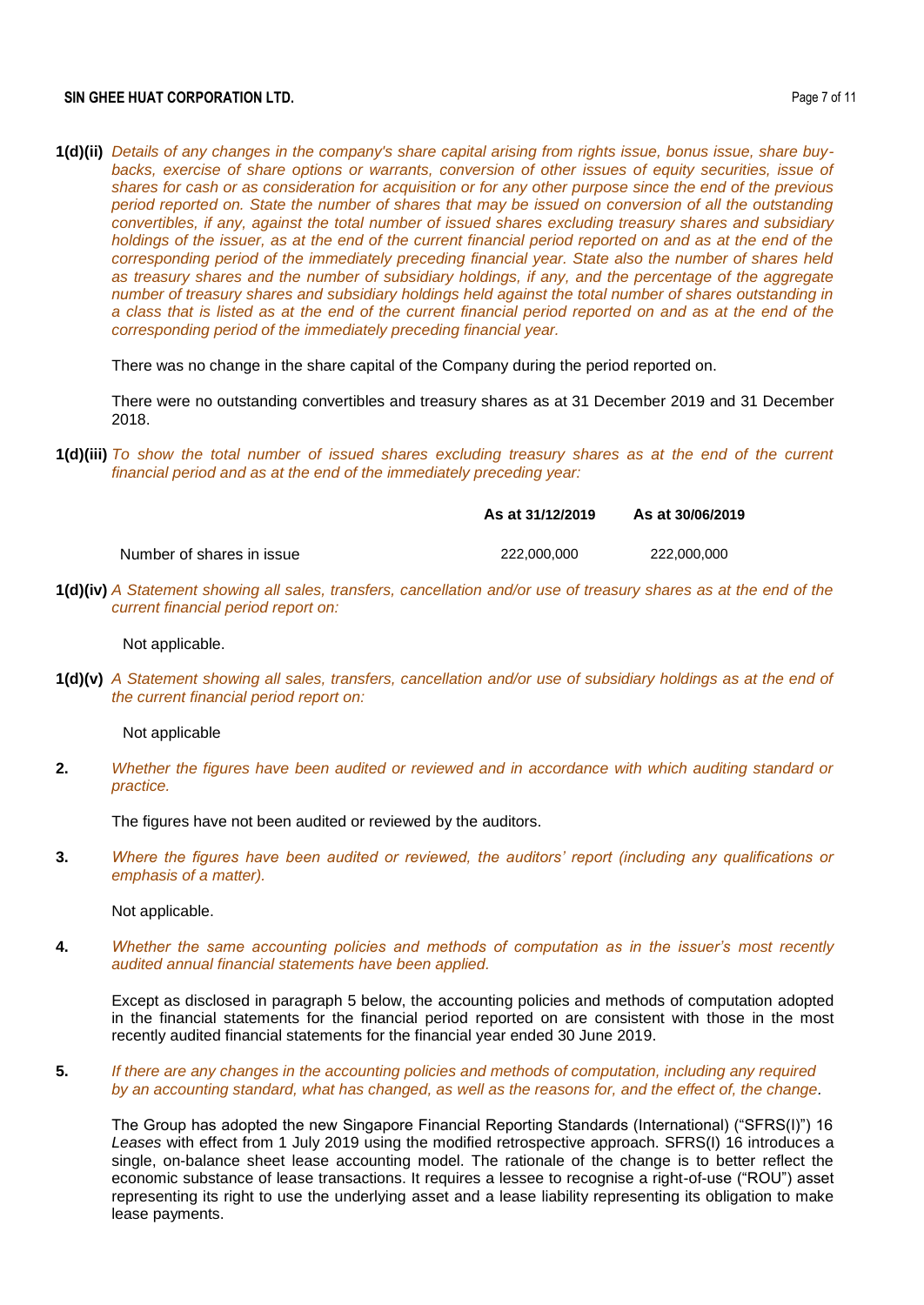#### **SIN GHEE HUAT CORPORATION LTD. Page 7 of 11**

**1(d)(ii)** *Details of any changes in the company's share capital arising from rights issue, bonus issue, share buybacks, exercise of share options or warrants, conversion of other issues of equity securities, issue of shares for cash or as consideration for acquisition or for any other purpose since the end of the previous period reported on. State the number of shares that may be issued on conversion of all the outstanding convertibles, if any, against the total number of issued shares excluding treasury shares and subsidiary holdings of the issuer, as at the end of the current financial period reported on and as at the end of the corresponding period of the immediately preceding financial year. State also the number of shares held as treasury shares and the number of subsidiary holdings, if any, and the percentage of the aggregate number of treasury shares and subsidiary holdings held against the total number of shares outstanding in a class that is listed as at the end of the current financial period reported on and as at the end of the corresponding period of the immediately preceding financial year.*

There was no change in the share capital of the Company during the period reported on.

There were no outstanding convertibles and treasury shares as at 31 December 2019 and 31 December 2018.

**1(d)(iii)** *To show the total number of issued shares excluding treasury shares as at the end of the current financial period and as at the end of the immediately preceding year:* 

**As at 31/12/2019 As at 30/06/2019**

Number of shares in issue 222,000,000 222,000,000

**1(d)(iv)** *A Statement showing all sales, transfers, cancellation and/or use of treasury shares as at the end of the current financial period report on:* 

Not applicable.

**1(d)(v)** *A Statement showing all sales, transfers, cancellation and/or use of subsidiary holdings as at the end of the current financial period report on:* 

Not applicable

**2.** *Whether the figures have been audited or reviewed and in accordance with which auditing standard or practice.*

The figures have not been audited or reviewed by the auditors.

**3.** *Where the figures have been audited or reviewed, the auditors' report (including any qualifications or emphasis of a matter).*

Not applicable.

**4.** *Whether the same accounting policies and methods of computation as in the issuer's most recently audited annual financial statements have been applied.*

Except as disclosed in paragraph 5 below, the accounting policies and methods of computation adopted in the financial statements for the financial period reported on are consistent with those in the most recently audited financial statements for the financial year ended 30 June 2019.

**5.** *If there are any changes in the accounting policies and methods of computation, including any required by an accounting standard, what has changed, as well as the reasons for, and the effect of, the change.*

The Group has adopted the new Singapore Financial Reporting Standards (International) ("SFRS(I)") 16 *Leases* with effect from 1 July 2019 using the modified retrospective approach. SFRS(I) 16 introduces a single, on-balance sheet lease accounting model. The rationale of the change is to better reflect the economic substance of lease transactions. It requires a lessee to recognise a right-of-use ("ROU") asset representing its right to use the underlying asset and a lease liability representing its obligation to make lease payments.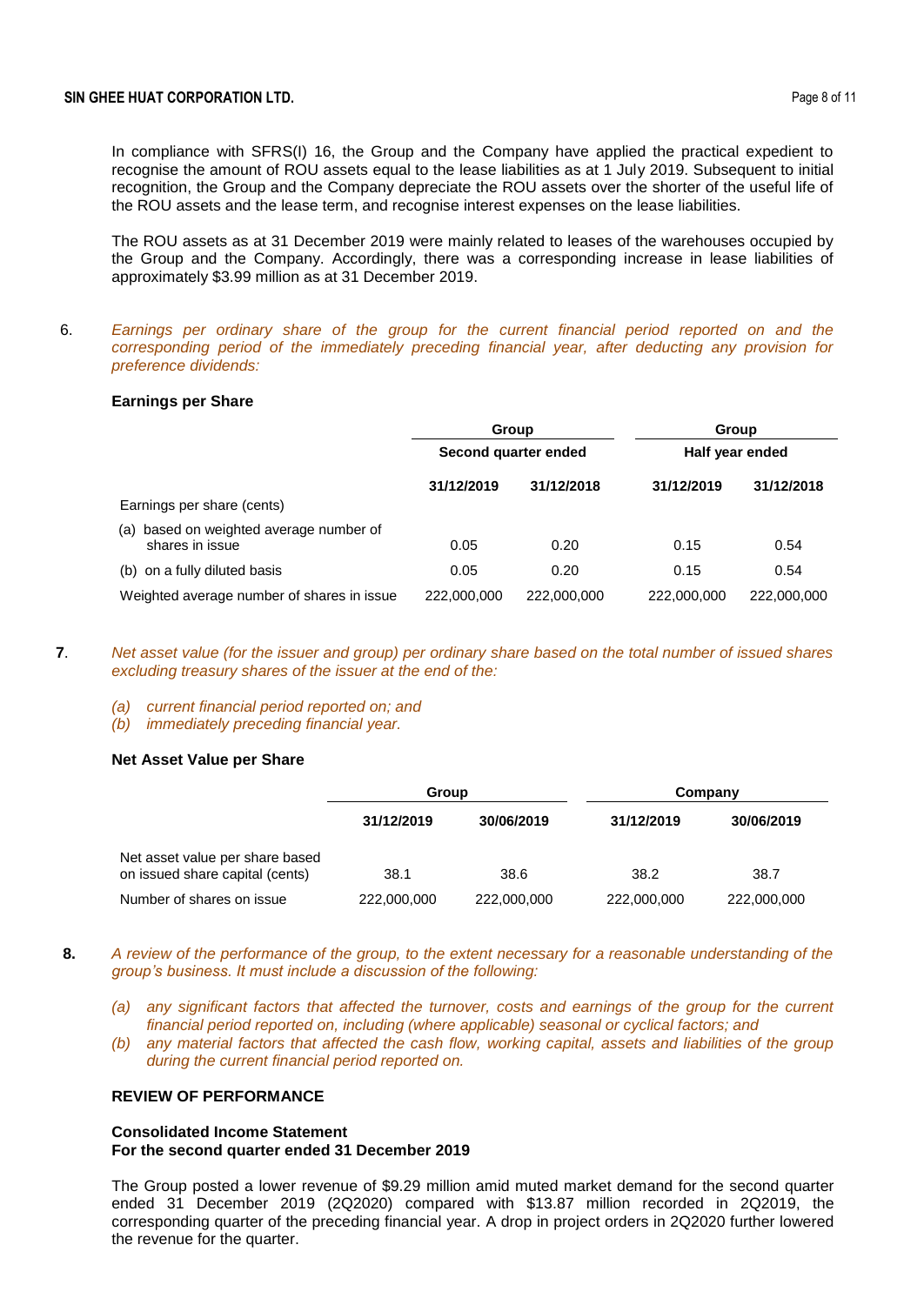In compliance with SFRS(I) 16, the Group and the Company have applied the practical expedient to recognise the amount of ROU assets equal to the lease liabilities as at 1 July 2019. Subsequent to initial recognition, the Group and the Company depreciate the ROU assets over the shorter of the useful life of the ROU assets and the lease term, and recognise interest expenses on the lease liabilities.

The ROU assets as at 31 December 2019 were mainly related to leases of the warehouses occupied by the Group and the Company. Accordingly, there was a corresponding increase in lease liabilities of approximately \$3.99 million as at 31 December 2019.

6. *Earnings per ordinary share of the group for the current financial period reported on and the corresponding period of the immediately preceding financial year, after deducting any provision for preference dividends:*

#### **Earnings per Share**

|                                                            | Group                |             | Group           |             |
|------------------------------------------------------------|----------------------|-------------|-----------------|-------------|
|                                                            | Second quarter ended |             | Half year ended |             |
|                                                            | 31/12/2019           | 31/12/2018  | 31/12/2019      | 31/12/2018  |
| Earnings per share (cents)                                 |                      |             |                 |             |
| (a) based on weighted average number of<br>shares in issue | 0.05                 | 0.20        | 0.15            | 0.54        |
| (b) on a fully diluted basis                               | 0.05                 | 0.20        | 0.15            | 0.54        |
| Weighted average number of shares in issue                 | 222,000,000          | 222,000,000 | 222,000,000     | 222,000,000 |

- **7**. *Net asset value (for the issuer and group) per ordinary share based on the total number of issued shares excluding treasury shares of the issuer at the end of the:*
	- *(a) current financial period reported on; and*
	- *(b) immediately preceding financial year.*

### **Net Asset Value per Share**

|                                                                    | Group       |             | Company     |             |  |
|--------------------------------------------------------------------|-------------|-------------|-------------|-------------|--|
|                                                                    | 31/12/2019  | 30/06/2019  | 31/12/2019  | 30/06/2019  |  |
| Net asset value per share based<br>on issued share capital (cents) | 38.1        | 38.6        | 38.2        | 38.7        |  |
| Number of shares on issue                                          | 222,000,000 | 222,000,000 | 222,000,000 | 222,000,000 |  |

- **8.** *A review of the performance of the group, to the extent necessary for a reasonable understanding of the group's business. It must include a discussion of the following:*
	- *(a) any significant factors that affected the turnover, costs and earnings of the group for the current financial period reported on, including (where applicable) seasonal or cyclical factors; and*
	- *(b) any material factors that affected the cash flow, working capital, assets and liabilities of the group during the current financial period reported on.*

## **REVIEW OF PERFORMANCE**

### **Consolidated Income Statement For the second quarter ended 31 December 2019**

The Group posted a lower revenue of \$9.29 million amid muted market demand for the second quarter ended 31 December 2019 (2Q2020) compared with \$13.87 million recorded in 2Q2019, the corresponding quarter of the preceding financial year. A drop in project orders in 2Q2020 further lowered the revenue for the quarter.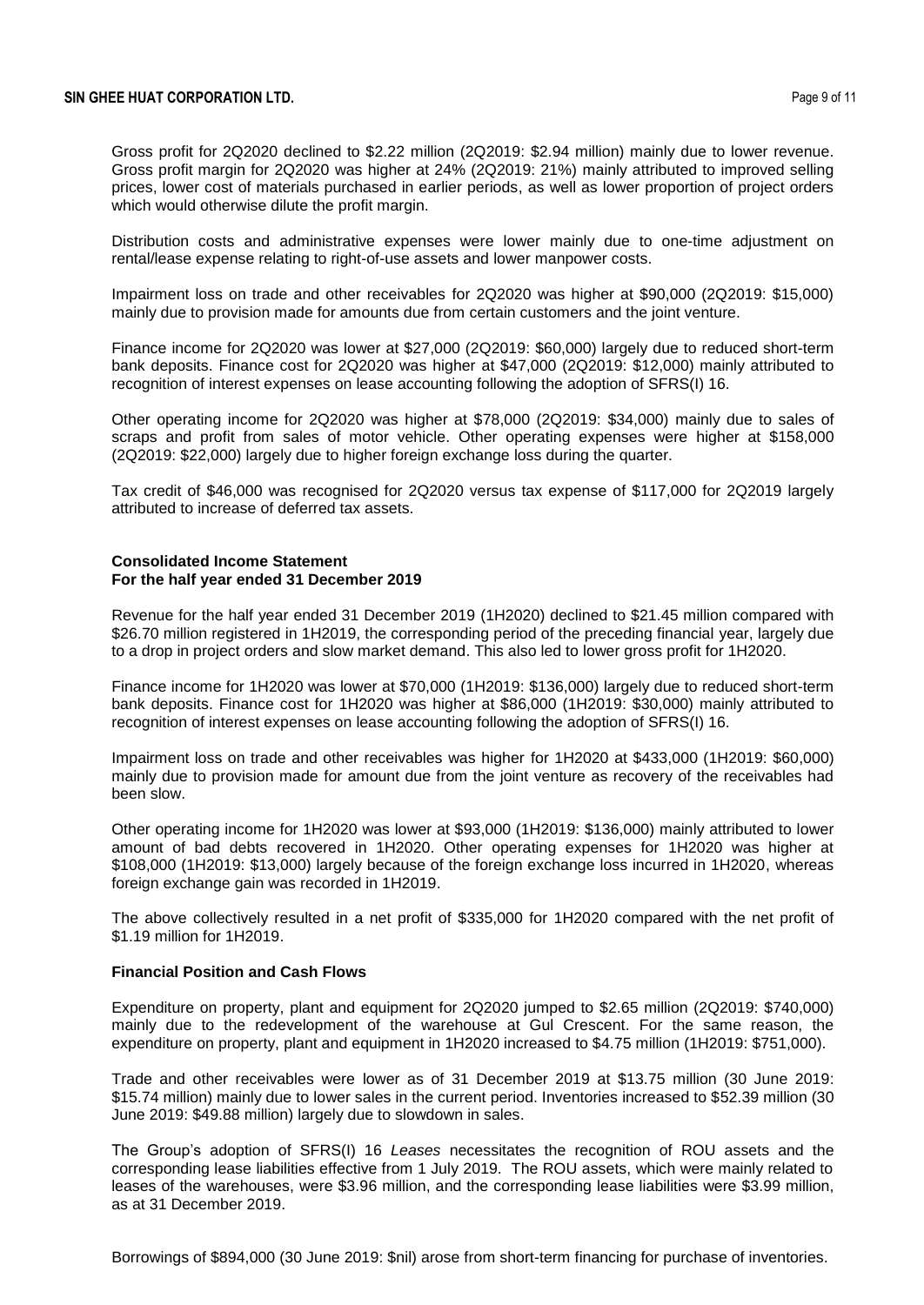Gross profit for 2Q2020 declined to \$2.22 million (2Q2019: \$2.94 million) mainly due to lower revenue. Gross profit margin for 2Q2020 was higher at 24% (2Q2019: 21%) mainly attributed to improved selling prices, lower cost of materials purchased in earlier periods, as well as lower proportion of project orders which would otherwise dilute the profit margin.

Distribution costs and administrative expenses were lower mainly due to one-time adjustment on rental/lease expense relating to right-of-use assets and lower manpower costs.

Impairment loss on trade and other receivables for 2Q2020 was higher at \$90,000 (2Q2019: \$15,000) mainly due to provision made for amounts due from certain customers and the joint venture.

Finance income for 2Q2020 was lower at \$27,000 (2Q2019: \$60,000) largely due to reduced short-term bank deposits. Finance cost for 2Q2020 was higher at \$47,000 (2Q2019: \$12,000) mainly attributed to recognition of interest expenses on lease accounting following the adoption of SFRS(I) 16.

Other operating income for 2Q2020 was higher at \$78,000 (2Q2019: \$34,000) mainly due to sales of scraps and profit from sales of motor vehicle. Other operating expenses were higher at \$158,000 (2Q2019: \$22,000) largely due to higher foreign exchange loss during the quarter.

Tax credit of \$46,000 was recognised for 2Q2020 versus tax expense of \$117,000 for 2Q2019 largely attributed to increase of deferred tax assets.

#### **Consolidated Income Statement For the half year ended 31 December 2019**

Revenue for the half year ended 31 December 2019 (1H2020) declined to \$21.45 million compared with \$26.70 million registered in 1H2019, the corresponding period of the preceding financial year, largely due to a drop in project orders and slow market demand. This also led to lower gross profit for 1H2020.

Finance income for 1H2020 was lower at \$70,000 (1H2019: \$136,000) largely due to reduced short-term bank deposits. Finance cost for 1H2020 was higher at \$86,000 (1H2019: \$30,000) mainly attributed to recognition of interest expenses on lease accounting following the adoption of SFRS(I) 16.

Impairment loss on trade and other receivables was higher for 1H2020 at \$433,000 (1H2019: \$60,000) mainly due to provision made for amount due from the joint venture as recovery of the receivables had been slow.

Other operating income for 1H2020 was lower at \$93,000 (1H2019: \$136,000) mainly attributed to lower amount of bad debts recovered in 1H2020. Other operating expenses for 1H2020 was higher at \$108,000 (1H2019: \$13,000) largely because of the foreign exchange loss incurred in 1H2020, whereas foreign exchange gain was recorded in 1H2019.

The above collectively resulted in a net profit of \$335,000 for 1H2020 compared with the net profit of \$1.19 million for 1H2019.

#### **Financial Position and Cash Flows**

Expenditure on property, plant and equipment for 2Q2020 jumped to \$2.65 million (2Q2019: \$740,000) mainly due to the redevelopment of the warehouse at Gul Crescent. For the same reason, the expenditure on property, plant and equipment in 1H2020 increased to \$4.75 million (1H2019: \$751,000).

Trade and other receivables were lower as of 31 December 2019 at \$13.75 million (30 June 2019: \$15.74 million) mainly due to lower sales in the current period. Inventories increased to \$52.39 million (30 June 2019: \$49.88 million) largely due to slowdown in sales.

The Group's adoption of SFRS(I) 16 *Leases* necessitates the recognition of ROU assets and the corresponding lease liabilities effective from 1 July 2019. The ROU assets, which were mainly related to leases of the warehouses, were \$3.96 million, and the corresponding lease liabilities were \$3.99 million, as at 31 December 2019.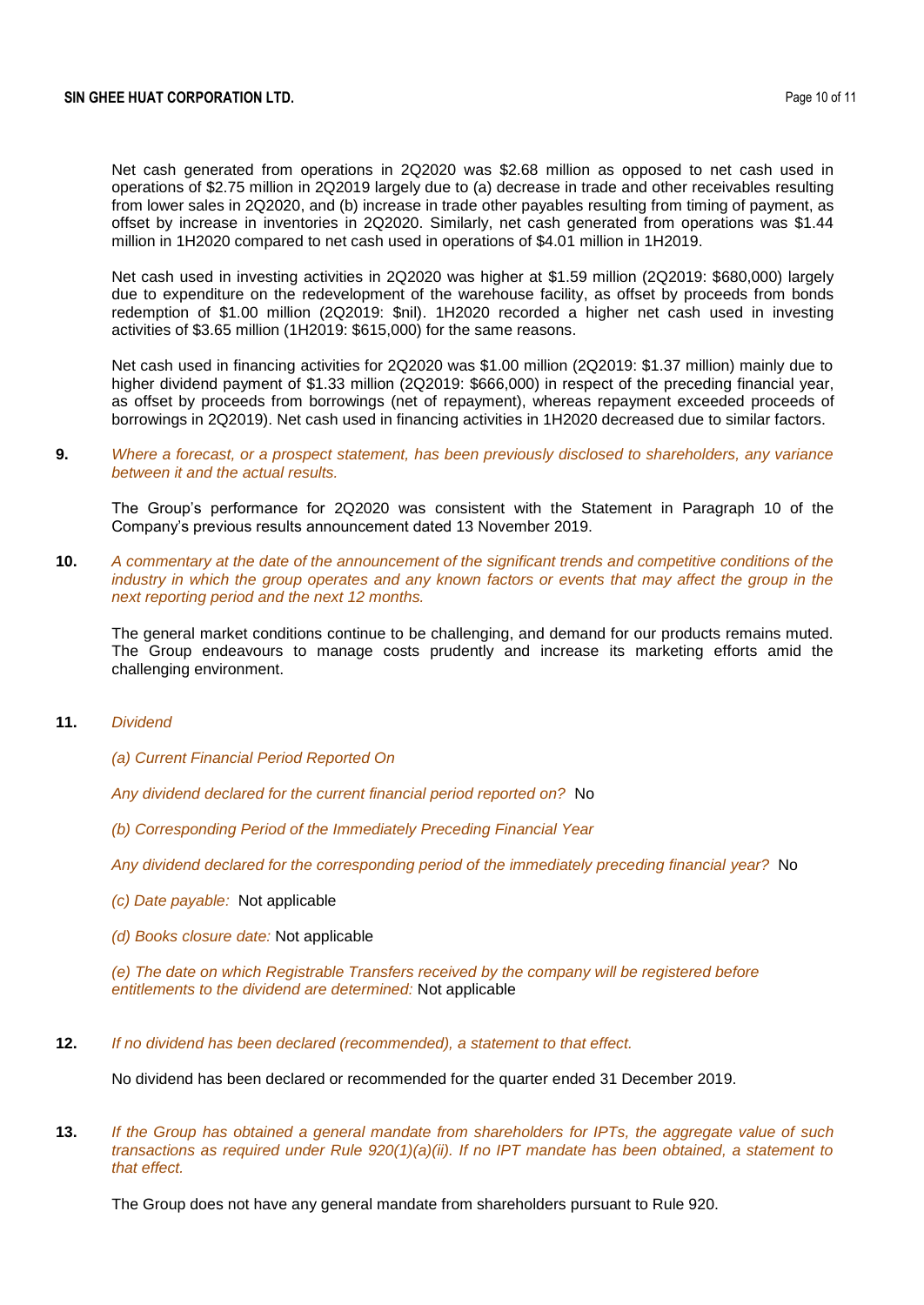Net cash generated from operations in 2Q2020 was \$2.68 million as opposed to net cash used in operations of \$2.75 million in 2Q2019 largely due to (a) decrease in trade and other receivables resulting from lower sales in 2Q2020, and (b) increase in trade other payables resulting from timing of payment, as offset by increase in inventories in 2Q2020. Similarly, net cash generated from operations was \$1.44 million in 1H2020 compared to net cash used in operations of \$4.01 million in 1H2019.

Net cash used in investing activities in 2Q2020 was higher at \$1.59 million (2Q2019: \$680,000) largely due to expenditure on the redevelopment of the warehouse facility, as offset by proceeds from bonds redemption of \$1.00 million (2Q2019: \$nil). 1H2020 recorded a higher net cash used in investing activities of \$3.65 million (1H2019: \$615,000) for the same reasons.

Net cash used in financing activities for 2Q2020 was \$1.00 million (2Q2019: \$1.37 million) mainly due to higher dividend payment of \$1.33 million (2Q2019: \$666,000) in respect of the preceding financial year, as offset by proceeds from borrowings (net of repayment), whereas repayment exceeded proceeds of borrowings in 2Q2019). Net cash used in financing activities in 1H2020 decreased due to similar factors.

**9.** *Where a forecast, or a prospect statement, has been previously disclosed to shareholders, any variance between it and the actual results.*

The Group's performance for 2Q2020 was consistent with the Statement in Paragraph 10 of the Company's previous results announcement dated 13 November 2019.

**10.** *A commentary at the date of the announcement of the significant trends and competitive conditions of the industry in which the group operates and any known factors or events that may affect the group in the next reporting period and the next 12 months.*

The general market conditions continue to be challenging, and demand for our products remains muted. The Group endeavours to manage costs prudently and increase its marketing efforts amid the challenging environment.

- **11.** *Dividend*
	- *(a) Current Financial Period Reported On*

*Any dividend declared for the current financial period reported on?* No

*(b) Corresponding Period of the Immediately Preceding Financial Year*

*Any dividend declared for the corresponding period of the immediately preceding financial year?* No

- *(c) Date payable:* Not applicable
- *(d) Books closure date:* Not applicable

*(e) The date on which Registrable Transfers received by the company will be registered before entitlements to the dividend are determined:* Not applicable

**12.** *If no dividend has been declared (recommended), a statement to that effect.*

No dividend has been declared or recommended for the quarter ended 31 December 2019.

**13.** *If the Group has obtained a general mandate from shareholders for IPTs, the aggregate value of such transactions as required under Rule 920(1)(a)(ii). If no IPT mandate has been obtained, a statement to that effect.*

The Group does not have any general mandate from shareholders pursuant to Rule 920.